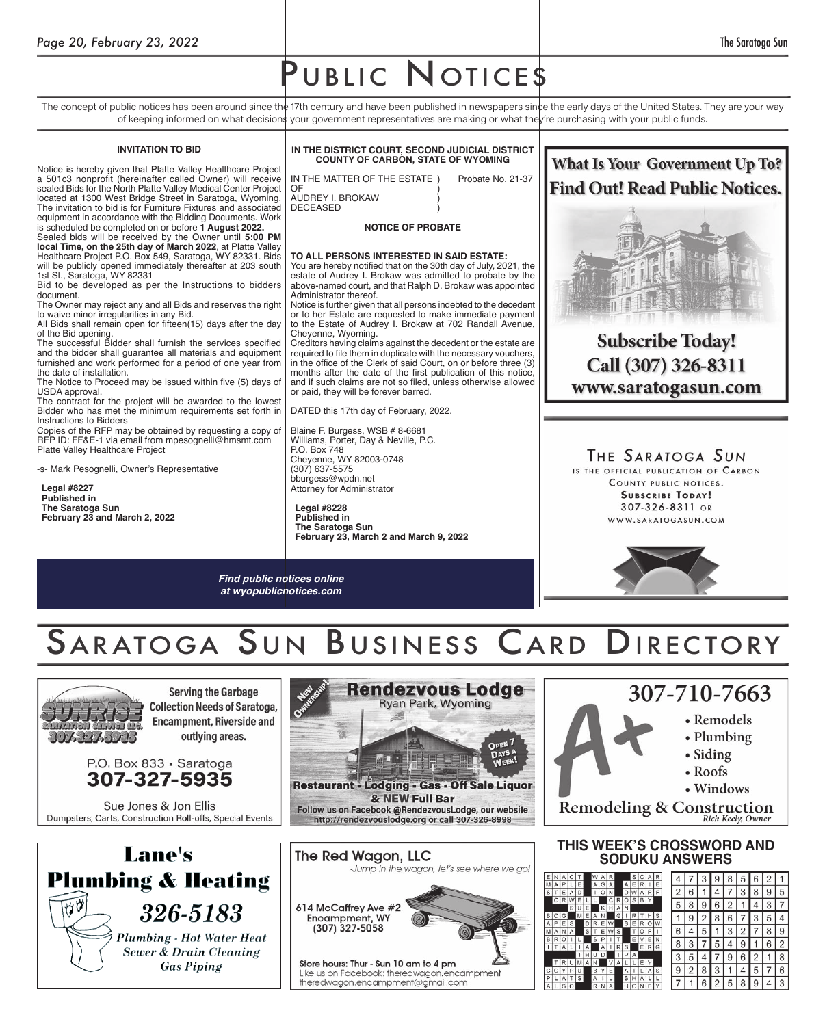# UBLIC NOTICES

The concept of public notices has been around since the 17th century and have been published in newspapers since the early days of the United States. They are your way of keeping informed on what decision\$ your government representatives are making or what the**l**y're purchasing with your public funds.

#### **INVITATION TO BID**

Notice is hereby given that Platte Valley Healthcare Project a 501c3 nonprofit (hereinafter called Owner) will receive sealed Bids for the North Platte Valley Medical Center Project located at 1300 West Bridge Street in Saratoga, Wyoming. The invitation to bid is for Furniture Fixtures and associated equipment in accordance with the Bidding Documents. Work

is scheduled be completed on or before **1 August 2022.** Sealed bids will be received by the Owner until **5:00 PM local Time, on the 25th day of March 2022**, at Platte Valley Healthcare Project P.O. Box 549, Saratoga, WY 82331. Bids will be publicly opened immediately thereafter at 203 south

1st St., Saratoga, WY 82331 Bid to be developed as per the Instructions to bidders document.

The Owner may reject any and all Bids and reserves the right to waive minor irregularities in any Bid.

All Bids shall remain open for fifteen(15) days after the day of the Bid opening.

The successful Bidder shall furnish the services specified and the bidder shall guarantee all materials and equipment furnished and work performed for a period of one year from the date of installation.

The Notice to Proceed may be issued within five (5) days of USDA approval.

The contract for the project will be awarded to the lowest Bidder who has met the minimum requirements set forth in Instructions to Bidders

Copies of the RFP may be obtained by requesting a copy of RFP ID: FF&E-1 via email from mpesognelli@hmsmt.com Platte Valley Healthcare Project

-s- Mark Pesognelli, Owner's Representative

**Legal #8227 Published in The Saratoga Sun February 23 and March 2, 2022**

**IN THE DISTRICT COURT, SECOND JUDICIAL DISTRICT COUNTY OF CARBON, STATE OF WYOMING** IN THE MATTER OF THE ESTATE ) Probate No. 21-37<br>OF OF the contract of  $\overline{a}$ AUDREY I. BROKAW ) **DECEASED** 

#### **NOTICE OF PROBATE**

#### **TO ALL PERSONS INTERESTED IN SAID ESTATE:** You are hereby notified that on the 30th day of July, 2021, the estate of Audrey I. Brokaw was admitted to probate by the above-named court, and that Ralph D. Brokaw was appointed

Administrator thereof. Notice is further given that all persons indebted to the decedent or to her Estate are requested to make immediate payment

to the Estate of Audrey I. Brokaw at 702 Randall Avenue, Cheyenne, Wyoming. Creditors having claims against the decedent or the estate are required to file them in duplicate with the necessary vouchers,

in the office of the Clerk of said Court, on or before three (3) months after the date of the first publication of this notice, and if such claims are not so filed, unless otherwise allowed or paid, they will be forever barred.

DATED this 17th day of February, 2022.

Blaine F. Burgess, WSB # 8-6681 Williams, Porter, Day & Neville, P.C. P.O. Box 748 Cheyenne, WY 82003-0748 (307) 637-5575 bburgess@wpdn.net Attorney for Administrator

**Legal #8228 Published in The Saratoga Sun February 23, March 2 and March 9, 2022**

*Find public notices online at wyopublicnotices.com*



**Subscribe Today!** Call (307) 326-8311 www.saratogasun.com

THE SARATOGA SUN IS THE OFFICIAL PUBLICATION OF CARRON COUNTY PUBLIC NOTICES. **SUBSCRIBE TODAY!** 307-326-8311 OR WWW.SARATOGASUN.COM



### SARATOGA SUN BUSINESS CARD DIRECTORY



**Serving the Garbage Collection Needs of Saratoga, Encampment, Riverside and** outlying areas.



Sue Jones & Jon Ellis Dumpsters, Carts, Construction Roll-offs, Special Events





http://rendezvouslodge.org or call 307-326-8998 The Red Wagon, LLC Jump in the wagon, let's see where we go!



Store hours: Thur - Sun 10 am to 4 pm Like us on Facebook: theredwagon.encampment theredwagon.encampment@gmail.com





 $\overline{2}$ 

5  $\overline{7}$  8

 $6\,$ 

### **THIS WEEK'S CROSSWORD AND SODUKU ANSWERS**

|                |   |   |   |   |   |   |   |   |   |   |   |   |   |   |   |   | 8 | $\ddot{\phantom{0}}$     |
|----------------|---|---|---|---|---|---|---|---|---|---|---|---|---|---|---|---|---|--------------------------|
| Α              | P |   | Ë |   | Α | G | A |   | A | Ε | R |   | Ë |   |   |   |   |                          |
| T              | E | Α | D |   |   |   | N |   |   | W | Α | R | F | 2 | 6 |   |   | ֓                        |
| $\overline{O}$ | R |   |   |   |   |   |   |   |   | S | B |   |   |   |   |   |   | é                        |
|                |   | S | Ù | E |   |   |   | Α | N |   |   |   |   | 5 |   | 9 | 2 |                          |
| O              | Ġ |   | M | E | A |   |   | G |   |   |   |   | S |   |   |   | 6 |                          |
| P              | E | S |   | D | R | E | W |   | S | Ε | R | O |   |   |   |   |   |                          |
| Α              | Ν | Α |   | S | Т | Е | W | S |   |   | O | P |   | 6 |   | 5 |   | $\overline{\phantom{a}}$ |
| R              | Õ |   |   |   | S | P |   |   |   | E | ٧ | Ε | N |   |   |   |   |                          |
| T              | Α |   |   | Α |   | Α |   | R | S |   | Ε | R | G | 8 |   |   |   | ć                        |
|                |   |   | T | н | U | D |   |   | P | Α |   |   |   |   |   |   | g | 6                        |
|                |   |   | M | Α | N |   | ٧ | Α |   |   |   |   |   |   |   |   |   |                          |
| O              | Υ | P | U |   | B | Υ | Ε |   | Α | т |   | Α | S | 9 |   | 8 |   | $\overline{\phantom{a}}$ |
| L              | Α |   | S |   | Α |   | L |   | S | н | Α |   |   |   |   |   |   |                          |
| L              | S | O |   |   | R | Ν | Α |   | H | O | N | Ε |   |   |   |   | 5 | $\{$                     |
|                |   |   |   |   |   |   |   |   |   |   |   |   |   |   |   |   |   |                          |

 $\frac{B}{I}$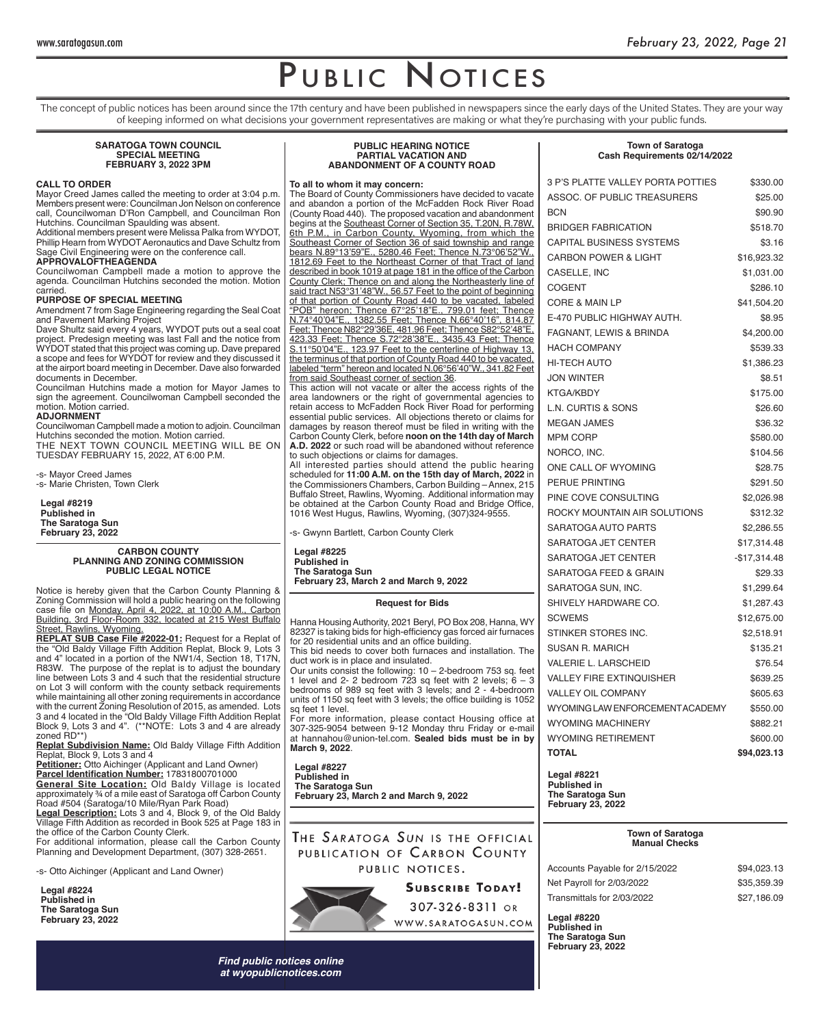**Town of Saratoga Cash Requirements 02/14/2022**

## PUBLIC NOTICES

The concept of public notices has been around since the 17th century and have been published in newspapers since the early days of the United States. They are your way of keeping informed on what decisions your government representatives are making or what they're purchasing with your public funds.

#### **SARATOGA TOWN COUNCIL SPECIAL MEETING FEBRUARY 3, 2022 3PM**

#### **CALL TO ORDER**

Mayor Creed James called the meeting to order at 3:04 p.m. Members present were: Councilman Jon Nelson on conference call, Councilwoman D'Ron Campbell, and Councilman Ron Hutchins. Councilman Spaulding was absent.

Additional members present were Melissa Palka from WYDOT, Phillip Hearn from WYDOT Aeronautics and Dave Schultz from Sage Civil Engineering were on the conference call. **APPROVALOFTHEAGENDA**

Councilwoman Campbell made a motion to approve the agenda. Councilman Hutchins seconded the motion. Motion carried.

#### **PURPOSE OF SPECIAL MEETING**

Amendment 7 from Sage Engineering regarding the Seal Coat and Pavement Marking Project

Dave Shultz said every 4 years, WYDOT puts out a seal coat project. Predesign meeting was last Fall and the notice from WYDOT stated that this project was coming up. Dave prepared a scope and fees for WYDOT for review and they discussed it at the airport board meeting in December. Dave also forwarded documents in December.

Councilman Hutchins made a motion for Mayor James to sign the agreement. Councilwoman Campbell seconded the motion. Motion carried.

#### **ADJORNMENT**

Councilwoman Campbell made a motion to adjoin. Councilman Hutchins seconded the motion. Motion carried. THE NEXT TOWN COUNCIL MEETING WILL BE ON TUESDAY FEBRUARY 15, 2022, AT 6:00 P.M.

-s- Mayor Creed James -s- Marie Christen, Town Clerk

**Legal #8219 Published in The Saratoga Sun February 23, 2022**

#### **CARBON COUNTY PLANNING AND ZONING COMMISSION PUBLIC LEGAL NOTICE**

Notice is hereby given that the Carbon County Planning & Zoning Commission will hold a public hearing on the following case file on <u>Monday, April 4, 2022, at 10:00 A.M., Carbon</u> Building, 3rd Floor-Room 332, located at 215 West Buffalo Street, Rawlins, Wyoming.

**REPLAT SUB Case File #2022-01:** Request for a Replat of the "Old Baldy Village Fifth Addition Replat, Block 9, Lots 3 and 4" located in a portion of the NW1/4, Section 18, T17N, R83W. The purpose of the replat is to adjust the boundary line between Lots 3 and 4 such that the residential structure on Lot 3 will conform with the county setback requirements while maintaining all other zoning requirements in accordance with the current Zoning Resolution of 2015, as amended. Lots 3 and 4 located in the "Old Baldy Village Fifth Addition Replat Block 9, Lots 3 and 4". (\*\*NOTE: Lots 3 and 4 are already zoned RD\*\*)

**Replat Subdivision Name:** Old Baldy Village Fifth Addition Replat, Block 9, Lots 3 and 4

**Petitioner:** Otto Aichinger (Applicant and Land Owner) **Parcel Identifi cation Number:** 17831800701000

**General Site Location:** Old Baldy Village is located approximately ¾ of a mile east of Saratoga off Carbon County Road #504 (Saratoga/10 Mile/Ryan Park Road)

**Legal Description:** Lots 3 and 4, Block 9, of the Old Baldy Village Fifth Addition as recorded in Book 525 at Page 183 in the office of the Carbon County Clerk.

For additional information, please call the Carbon County Planning and Development Department, (307) 328-2651.

-s- Otto Aichinger (Applicant and Land Owner)

**Legal #8224 Published in The Saratoga Sun February 23, 2022**

#### **PUBLIC HEARING NOTICE PARTIAL VACATION AND ABANDONMENT OF A COUNTY ROAD**

#### **To all to whom it may concern:**

The Board of County Commissioners have decided to vacate and abandon a portion of the McFadden Rock River Road (County Road 440). The proposed vacation and abandonment begins at the Southeast Corner of Section 35, T.20N, R.78W, 6th P.M., in Carbon County, Wyoming, from which the Southeast Corner of Section 36 of said township and range bears N.89°13'59"E., 5280.46 Feet; Thence N.73°06'52"W., 1812.69 Feet to the Northeast Corner of that Tract of land described in book 1019 at page 181 in the office of the Carbon County Clerk; Thence on and along the Northeasterly line of said tract N53°31'48"W., 56.57 Feet to the point of beginning of that portion of County Road 440 to be vacated, labeled "POB" hereon; Thence 67°25'18"E., 799.01 feet; Thence N.74°40'04"E., 1382.55 Feet; Thence N.66°40'16", 814.87 Feet; Thence N82°29'36E, 481.96 Feet; Thence S82°52'48"E, 423.33 Feet; Thence S.72°28'38"E., 3435.43 Feet; Thence S.11°50'04"E., 123.97 Feet to the centerline of Highway 13, the terminus of that portion of County Road 440 to be vacated, labeled "term" hereon and located N.06°56'40"W., 341.82 Feet from said Southeast corner of section 36.

This action will not vacate or alter the access rights of the area landowners or the right of governmental agencies to retain access to McFadden Rock River Road for performing essential public services. All objections thereto or claims for damages by reason thereof must be filed in writing with the Carbon County Clerk, before **noon on the 14th day of March A.D. 2022** or such road will be abandoned without reference to such objections or claims for damages.

All interested parties should attend the public hearing scheduled for **11:00 A.M. on the 15th day of March, 2022** in the Commissioners Chambers, Carbon Building – Annex, 215 Buffalo Street, Rawlins, Wyoming. Additional information may be obtained at the Carbon County Road and Bridge Office, 1016 West Hugus, Rawlins, Wyoming, (307)324-9555.

-s- Gwynn Bartlett, Carbon County Clerk

**Legal #8225 Published in The Saratoga Sun February 23, March 2 and March 9, 2022**

#### **Request for Bids**

Hanna Housing Authority, 2021 Beryl, PO Box 208, Hanna, WY 82327 is taking bids for high-efficiency gas forced air furnaces for 20 residential units and an office building. This bid needs to cover both furnaces and installation. The

duct work is in place and insulated. Our units consist the following: 10 – 2-bedroom 753 sq. feet 1 level and 2- 2 bedroom 723 sq feet with 2 levels;  $6 - 3$ bedrooms of 989 sq feet with 3 levels; and 2 - 4-bedroom

units of 1150 sq feet with 3 levels; the office building is 1052 sq feet 1 level. For more information, please contact Housing office at

307-325-9054 between 9-12 Monday thru Friday or e-mail at hannahou@union-tel.com. **Sealed bids must be in by March 9, 2022**.

**Legal #8227 Published in The Saratoga Sun February 23, March 2 and March 9, 2022**

THE SARATOGA SUN IS THE OFFICIAL PUBLICATION OF CARBON COUNTY PUBLIC NOTICES.

> 307-326-8311 OR WWW.SARATOGASUN.COM

| 3 P'S PLATTE VALLEY PORTA POTTIES | \$330.00      |
|-----------------------------------|---------------|
| ASSOC. OF PUBLIC TREASURERS       | \$25.00       |
| <b>BCN</b>                        | \$90.90       |
| <b>BRIDGER FABRICATION</b>        | \$518.70      |
| <b>CAPITAL BUSINESS SYSTEMS</b>   | \$3.16        |
| <b>CARBON POWER &amp; LIGHT</b>   | \$16,923.32   |
| CASELLE, INC                      | \$1,031.00    |
| <b>COGENT</b>                     | \$286.10      |
| <b>CORE &amp; MAIN LP</b>         | \$41,504.20   |
| E-470 PUBLIC HIGHWAY AUTH.        | \$8.95        |
| FAGNANT, LEWIS & BRINDA           | \$4,200.00    |
| <b>HACH COMPANY</b>               | \$539.33      |
| HI-TECH AUTO                      | \$1,386.23    |
| <b>JON WINTER</b>                 | \$8.51        |
| <b>KTGA/KBDY</b>                  | \$175.00      |
| <b>L.N. CURTIS &amp; SONS</b>     | \$26.60       |
| <b>MEGAN JAMES</b>                | \$36.32       |
| <b>MPM CORP</b>                   | \$580.00      |
| NORCO, INC.                       | \$104.56      |
| ONE CALL OF WYOMING               | \$28.75       |
| PERUE PRINTING                    | \$291.50      |
| PINE COVE CONSULTING              | \$2,026.98    |
| ROCKY MOUNTAIN AIR SOLUTIONS      | \$312.32      |
| SARATOGA AUTO PARTS               | \$2,286.55    |
| SARATOGA JET CENTER               | \$17,314.48   |
| SARATOGA JET CENTER               | $-$17,314.48$ |
| SARATOGA FEED & GRAIN             | \$29.33       |
| SARATOGA SUN, INC.                | \$1,299.64    |
| SHIVELY HARDWARE CO.              | \$1,287.43    |
| <b>SCWEMS</b>                     | \$12,675.00   |
| STINKER STORES INC.               | \$2,518.91    |
| <b>SUSAN R. MARICH</b>            | \$135.21      |
| <b>VALERIE L. LARSCHEID</b>       | \$76.54       |
| <b>VALLEY FIRE EXTINQUISHER</b>   | \$639.25      |
| <b>VALLEY OIL COMPANY</b>         | \$605.63      |
| WYOMING LAW ENFORCEMENT ACADEMY   | \$550.00      |
| <b>WYOMING MACHINERY</b>          | \$882.21      |
| <b>WYOMING RETIREMENT</b>         | \$600.00      |
| <b>TOTAL</b>                      | \$94,023.13   |
|                                   |               |

**Legal #8221 Published in The Saratoga Sun February 23, 2022**

#### **Town of Saratoga Manual Checks**

| Accounts Payable for 2/15/2022 | \$94,023.13 |
|--------------------------------|-------------|
| Net Payroll for 2/03/2022      | \$35.359.39 |
| Transmittals for 2/03/2022     | \$27.186.09 |

**Legal #8220 Published in The Saratoga Sun February 23, 2022**

*Find public notices online at wyopublicnotices.com*

### **SUBSCRIBE TODAY!**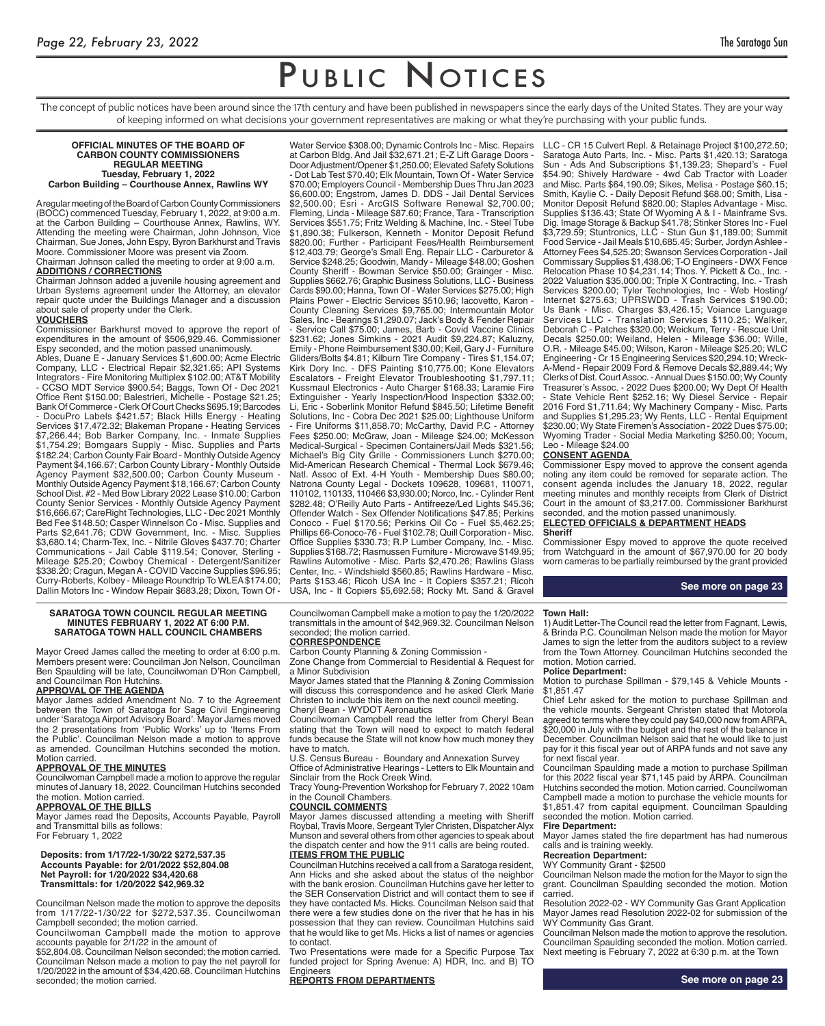## PUBLIC NOTICES

The concept of public notices have been around since the 17th century and have been published in newspapers since the early days of the United States. They are your way of keeping informed on what decisions your government representatives are making or what they're purchasing with your public funds.

#### **OFFICIAL MINUTES OF THE BOARD OF CARBON COUNTY COMMISSIONERS REGULAR MEETING Tuesday, February 1, 2022 Carbon Building – Courthouse Annex, Rawlins WY**

A regular meeting of the Board of Carbon County Commissioners (BOCC) commenced Tuesday, February 1, 2022, at 9:00 a.m. at the Carbon Building – Courthouse Annex, Rawlins, WY. Attending the meeting were Chairman, John Johnson, Vice Chairman, Sue Jones, John Espy, Byron Barkhurst and Travis Moore. Commissioner Moore was present via Zoom. Chairman Johnson called the meeting to order at 9:00 a.m.

**ADDITIONS / CORRECTIONS**

Chairman Johnson added a juvenile housing agreement and Urban Systems agreement under the Attorney, an elevator repair quote under the Buildings Manager and a discussion about sale of property under the Clerk. **VOUCHERS**

Commissioner Barkhurst moved to approve the report of expenditures in the amount of \$506,929.46. Commissioner Espy seconded, and the motion passed unanimously.

Ables, Duane E - January Services \$1,600.00; Acme Electric Company, LLC - Electrical Repair \$2,321.65; API Systems Integrators - Fire Monitoring Multiplex \$102.00; AT&T Mobility - CCSO MDT Service \$900.54; Baggs, Town Of - Dec 2021 Office Rent \$150.00; Balestrieri, Michelle - Postage \$21.25; Bank Of Commerce - Clerk Of Court Checks \$695.19; Barcodes DocuPro Labels \$421.57; Black Hills Energy - Heating Services \$17,472.32; Blakeman Propane - Heating Services \$7,266.44; Bob Barker Company, Inc. - Inmate Supplies \$1,754.29; Bomgaars Supply - Misc. Supplies and Parts \$182.24; Carbon County Fair Board - Monthly Outside Agency Payment \$4,166.67; Carbon County Library - Monthly Outside Agency Payment \$32,500.00; Carbon County Museum - Monthly Outside Agency Payment \$18,166.67; Carbon County School Dist. #2 - Med Bow Library 2022 Lease \$10.00; Carbon County Senior Services - Monthly Outside Agency Payment \$16,666.67; CareRight Technologies, LLC - Dec 2021 Monthly Bed Fee \$148.50; Casper Winnelson Co - Misc. Supplies and Parts \$2,641.76; CDW Government, Inc. - Misc. Supplies \$3,680.14; Charm-Tex, Inc. - Nitrile Gloves \$437.70; Charter Communications - Jail Cable \$119.54; Conover, Sterling - Mileage \$25.20; Cowboy Chemical - Detergent/Sanitizer \$338.20; Cragun, Megan A - COVID Vaccine Supplies \$96.95; Curry-Roberts, Kolbey - Mileage Roundtrip To WLEA \$174.00; Dallin Motors Inc - Window Repair \$683.28; Dixon, Town Of -

Water Service \$308.00; Dynamic Controls Inc - Misc. Repairs at Carbon Bldg. And Jail \$32,671.21; E-Z Lift Garage Doors - Door Adjustment/Opener \$1,250.00; Elevated Safety Solutions - Dot Lab Test \$70.40; Elk Mountain, Town Of - Water Service \$70.00; Employers Council - Membership Dues Thru Jan 2023 \$6,600.00; Engstrom, James D. DDS - Jail Dental Services \$2,500.00; Esri - ArcGIS Software Renewal \$2,700.00; Fleming, Linda - Mileage \$87.60; France, Tara - Transcription Services \$551.75; Fritz Welding & Machine, Inc. - Steel Tube \$1,890.38; Fulkerson, Kenneth - Monitor Deposit Refund \$820.00; Further - Participant Fees/Health Reimbursement \$12,403.79; George's Small Eng. Repair LLC - Carburetor & Service \$248.25; Goodwin, Mandy - Mileage \$48.00; Goshen County Sheriff - Bowman Service \$50.00; Grainger - Misc. Supplies \$662.76; Graphic Business Solutions, LLC - Business Cards \$90.00; Hanna, Town Of - Water Services \$275.00; High Plains Power - Electric Services \$510.96; Iacovetto, Karon - County Cleaning Services \$9,765.00; Intermountain Motor Sales, Inc - Bearings \$1,290.07; Jack's Body & Fender Repair - Service Call \$75.00; James, Barb - Covid Vaccine Clinics \$231.62; Jones Simkins - 2021 Audit \$9,224.87; Kaluzny, Emily - Phone Reimbursement \$30.00; Keil, Gary J - Furniture Gliders/Bolts \$4.81; Kilburn Tire Company - Tires \$1,154.07; Kirk Dory Inc. - DFS Painting \$10,775.00; Kone Elevators Escalators - Freight Elevator Troubleshooting \$1,797.11; Kussmaul Electronics - Auto Charger \$168.33; Laramie Fire Extinguisher - Yearly Inspection/Hood Inspection \$332.00; Li, Eric - Soberlink Monitor Refund \$845.50; Lifetime Benefit Solutions, Inc - Cobra Dec 2021 \$25.00; Lighthouse Uniform - Fire Uniforms \$11,858.70; McCarthy, David P.C - Attorney Fees \$250.00; McGraw, Joan - Mileage \$24.00; McKesson Medical-Surgical - Specimen Containers/Jail Meds \$321.56; Michael's Big City Grille - Commissioners Lunch \$270.00; Mid-American Research Chemical - Thermal Lock \$679.46; Natl. Assoc of Ext. 4-H Youth - Membership Dues \$80.00; Natrona County Legal - Dockets 109628, 109681, 110071, 110102, 110133, 110466 \$3,930.00; Norco, Inc. - Cylinder Rent \$282.48; O'Reilly Auto Parts - Antifreeze/Led Lights \$45.36; Offender Watch - Sex Offender Notifications \$47.85; Perkins Conoco - Fuel \$170.56; Perkins Oil Co - Fuel \$5,462.25; Phillips 66-Conoco-76 - Fuel \$102.78; Quill Corporation - Misc. Office Supplies \$330.73; R.P Lumber Company, Inc. - Misc. Supplies \$168.72; Rasmussen Furniture - Microwave \$149.95; Rawlins Automotive - Misc. Parts \$2,470.26; Rawlins Glass Center, Inc. - Windshield \$560.85; Rawlins Hardware - Misc. Parts \$153.46; Ricoh USA Inc - It Copiers \$357.21; Ricoh USA, Inc - It Copiers \$5,692.58; Rocky Mt. Sand & Gravel

LLC - CR 15 Culvert Repl. & Retainage Project \$100,272.50; Saratoga Auto Parts, Inc. - Misc. Parts \$1,420.13; Saratoga Sun - Ads And Subscriptions \$1,139.23; Shepard's - Fuel \$54.90; Shively Hardware - 4wd Cab Tractor with Loader and Misc. Parts \$64,190.09; Sikes, Melisa - Postage \$60.15; Smith, Kaylie C. - Daily Deposit Refund \$68.00; Smith, Lisa - Monitor Deposit Refund \$820.00; Staples Advantage - Misc. Supplies \$136.43; State Of Wyoming A & I - Mainframe Svs. Dig. Image Storage & Backup \$41.78; Stinker Stores Inc - Fuel \$3,729.59; Stuntronics, LLC - Stun Gun \$1,189.00; Summit Food Service - Jail Meals \$10,685.45; Surber, Jordyn Ashlee - Attorney Fees \$4,525.20; Swanson Services Corporation - Jail Commissary Supplies \$1,438.06; T-O Engineers - DWX Fence Relocation Phase 10 \$4,231.14; Thos. Y. Pickett & Co., Inc. - 2022 Valuation \$35,000.00; Triple X Contracting, Inc. - Trash Services \$200.00; Tyler Technologies, Inc - Web Hosting/ Internet \$275.63; UPRSWDD - Trash Services \$190.00; Us Bank - Misc. Charges \$3,426.15; Voiance Language Services LLC - Translation Services \$110.25; Walker, Deborah C - Patches \$320.00; Weickum, Terry - Rescue Unit Decals \$250.00; Weiland, Helen - Mileage \$36.00; Wille, O.R. - Mileage \$45.00; Wilson, Karon - Mileage \$25.20; WLC Engineering - Cr 15 Engineering Services \$20,294.10; Wreck-A-Mend - Repair 2009 Ford & Remove Decals \$2,889.44; Wy Clerks of Dist. Court Assoc. - Annual Dues \$150.00; Wy County Treasurer's Assoc. - 2022 Dues \$200.00; Wy Dept Of Health - State Vehicle Rent \$252.16; Wy Diesel Service - Repair 2016 Ford \$1,711.64; Wy Machinery Company - Misc. Parts and Supplies \$1,295.23; Wy Rents, LLC - Rental Equipment \$230.00; Wy State Firemen's Association - 2022 Dues \$75.00; Wyoming Trader - Social Media Marketing \$250.00; Yocum, Leo - Mileage \$24.00

#### **CONSENT AGENDA**

Commissioner Espy moved to approve the consent agenda noting any item could be removed for separate action. The consent agenda includes the January 18, 2022, regular meeting minutes and monthly receipts from Clerk of District Court in the amount of \$3,217.00. Commissioner Barkhurst seconded, and the motion passed unanimously **ELECTED OFFICIALS & DEPARTMENT HEADS**

#### **Sheriff**

Commissioner Espy moved to approve the quote received from Watchguard in the amount of \$67,970.00 for 20 body worn cameras to be partially reimbursed by the grant provided

#### **See more on page 23**

#### **SARATOGA TOWN COUNCIL REGULAR MEETING MINUTES FEBRUARY 1, 2022 AT 6:00 P.M. SARATOGA TOWN HALL COUNCIL CHAMBERS**

Mayor Creed James called the meeting to order at 6:00 p.m. Members present were: Councilman Jon Nelson, Councilman Ben Spaulding will be late, Councilwoman D'Ron Campbell, and Councilman Ron Hutchins.

#### **APPROVAL OF THE AGENDA**

Mayor James added Amendment No. 7 to the Agreement between the Town of Saratoga for Sage Civil Engineering under 'Saratoga Airport Advisory Board'. Mayor James moved the 2 presentations from 'Public Works' up to 'Items From the Public'. Councilman Nelson made a motion to approve as amended. Councilman Hutchins seconded the motion. Motion carried

#### **APPROVAL OF THE MINUTES**

Councilwoman Campbell made a motion to approve the regular minutes of January 18, 2022. Councilman Hutchins seconded the motion. Motion carried.

#### **APPROVAL OF THE BILLS**

Mayor James read the Deposits, Accounts Payable, Payroll and Transmittal bills as follows: For February 1, 2022

#### **Deposits: from 1/17/22-1/30/22 \$272,537.35 Accounts Payable: for 2/01/2022 \$52,804.08 Net Payroll: for 1/20/2022 \$34,420.68 Transmittals: for 1/20/2022 \$42,969.32**

Councilman Nelson made the motion to approve the deposits from 1/17/22-1/30/22 for \$272,537.35. Councilwoman Campbell seconded; the motion carried.

Councilwoman Campbell made the motion to approve accounts payable for 2/1/22 in the amount of \$52,804.08. Councilman Nelson seconded; the motion carried.

Councilman Nelson made a motion to pay the net payroll for 1/20/2022 in the amount of \$34,420.68. Councilman Hutchins seconded; the motion carried.

Councilwoman Campbell make a motion to pay the 1/20/2022 transmittals in the amount of \$42,969.32. Councilman Nelson seconded; the motion carried.

#### **CORRESPONDENCE**

Carbon County Planning & Zoning Commission - Zone Change from Commercial to Residential & Request for a Minor Subdivision

Mayor James stated that the Planning & Zoning Commission will discuss this correspondence and he asked Clerk Marie Christen to include this item on the next council meeting. Cheryl Bean - WYDOT Aeronautics

Councilwoman Campbell read the letter from Cheryl Bean stating that the Town will need to expect to match federal funds because the State will not know how much money they have to match.

U.S. Census Bureau - Boundary and Annexation Survey Office of Administrative Hearings - Letters to Elk Mountain and Sinclair from the Rock Creek Wind.

Tracy Young-Prevention Workshop for February 7, 2022 10am in the Council Chambers.

#### **COUNCIL COMMENTS**

Mayor James discussed attending a meeting with Sheriff Roybal, Travis Moore, Sergeant Tyler Christen, Dispatcher Alyx Munson and several others from other agencies to speak about the dispatch center and how the 911 calls are being routed. **ITEMS FROM THE PUBLIC**

Councilman Hutchins received a call from a Saratoga resident, Ann Hicks and she asked about the status of the neighbor with the bank erosion. Councilman Hutchins gave her letter to the SER Conservation District and will contact them to see if they have contacted Ms. Hicks. Councilman Nelson said that there were a few studies done on the river that he has in his possession that they can review. Councilman Hutchins said that he would like to get Ms. Hicks a list of names or agencies to contact.

Two Presentations were made for a Specific Purpose Tax funded project for Spring Avenue: A) HDR, Inc. and B) TO Engineers

#### **REPORTS FROM DEPARTMENTS**

1) Audit Letter-The Council read the letter from Fagnant, Lewis, & Brinda P.C. Councilman Nelson made the motion for Mayor James to sign the letter from the auditors subject to a review from the Town Attorney. Councilman Hutchins seconded the motion. Motion carried.

#### **Police Department:**

**Town Hall:**

Motion to purchase Spillman - \$79,145 & Vehicle Mounts - \$1,851.47

Chief Lehr asked for the motion to purchase Spillman and the vehicle mounts. Sergeant Christen stated that Motorola agreed to terms where they could pay \$40,000 now from ARPA, \$20,000 in July with the budget and the rest of the balance in December. Councilman Nelson said that he would like to just pay for it this fiscal year out of ARPA funds and not save any for next fiscal year.

Councilman Spaulding made a motion to purchase Spillman for this 2022 fiscal year \$71,145 paid by ARPA. Councilman Hutchins seconded the motion. Motion carried. Councilwoman Campbell made a motion to purchase the vehicle mounts for \$1,851.47 from capital equipment. Councilman Spaulding seconded the motion. Motion carried.

#### **Fire Department:**

Mayor James stated the fire department has had numerous calls and is training weekly.

#### **Recreation Department:** WY Community Grant - \$2500

Councilman Nelson made the motion for the Mayor to sign the grant. Councilman Spaulding seconded the motion. Motion carried.

Resolution 2022-02 - WY Community Gas Grant Application Mayor James read Resolution 2022-02 for submission of the WY Community Gas Grant.

Councilman Nelson made the motion to approve the resolution. Councilman Spaulding seconded the motion. Motion carried. Next meeting is February 7, 2022 at 6:30 p.m. at the Town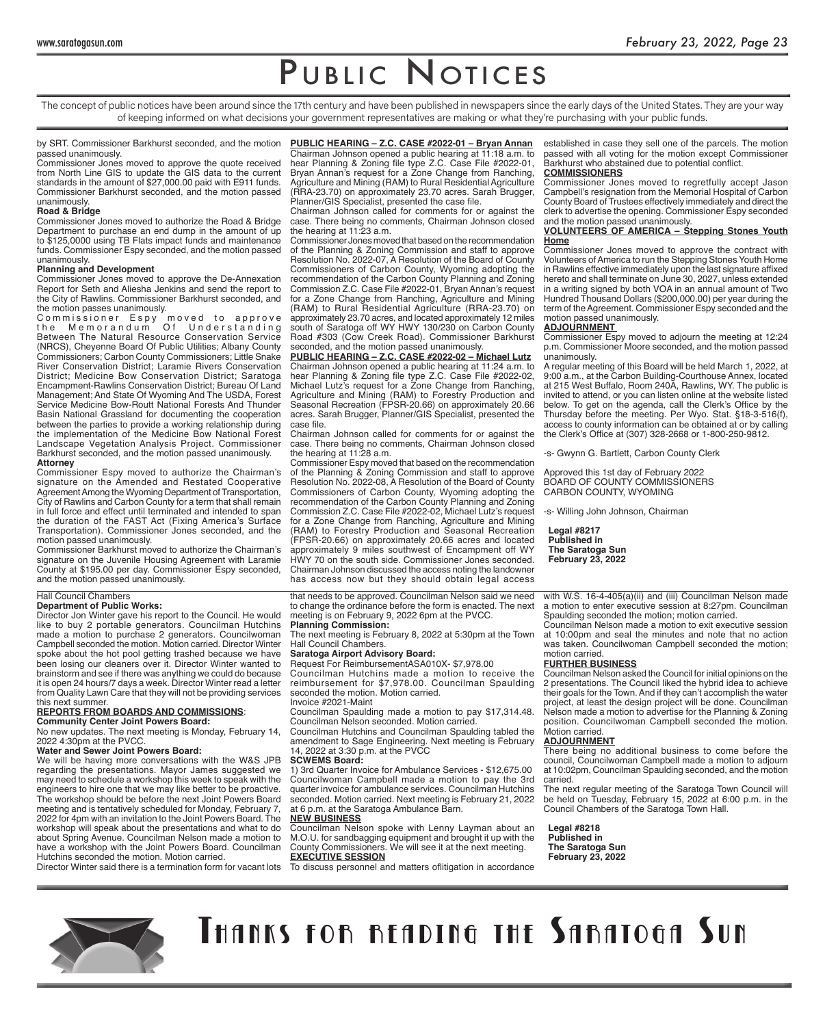## PUBLIC NOTICES

The concept of public notices have been around since the 17th century and have been published in newspapers since the early days of the United States. They are your way of keeping informed on what decisions your government representatives are making or what they're purchasing with your public funds.

by SRT. Commissioner Barkhurst seconded, and the motion passed unanimously.

 Commissioner Jones moved to approve the quote received from North Line GIS to update the GIS data to the current standards in the amount of \$27,000.00 paid with E911 funds. Commissioner Barkhurst seconded, and the motion passed unanimously.

#### **Road & Bridge**

Commissioner Jones moved to authorize the Road & Bridge Department to purchase an end dump in the amount of up to \$125,0000 using TB Flats impact funds and maintenance funds. Commissioner Espy seconded, and the motion passed unanimously.

#### **Planning and Development**

Commissioner Jones moved to approve the De-Annexation Report for Seth and Aliesha Jenkins and send the report to the City of Rawlins. Commissioner Barkhurst seconded, and the motion passes unanimously.

Commissioner Espy moved to approve the Memorandum Of Understanding Between The Natural Resource Conservation Service (NRCS), Cheyenne Board Of Public Utilities; Albany County Commissioners; Carbon County Commissioners; Little Snake River Conservation District; Laramie Rivers Conservation District; Medicine Bow Conservation District; Saratoga Encampment-Rawlins Conservation District; Bureau Of Land Management; And State Of Wyoming And The USDA, Forest Service Medicine Bow-Routt National Forests And Thunder Basin National Grassland for documenting the cooperation between the parties to provide a working relationship during the implementation of the Medicine Bow National Forest Landscape Vegetation Analysis Project. Commissioner Barkhurst seconded, and the motion passed unanimously. **Attorney**

Commissioner Espy moved to authorize the Chairman's signature on the Amended and Restated Cooperative Agreement Among the Wyoming Department of Transportation, City of Rawlins and Carbon County for a term that shall remain in full force and effect until terminated and intended to span the duration of the FAST Act (Fixing America's Surface Transportation). Commissioner Jones seconded, and the motion passed unanimously.

Commissioner Barkhurst moved to authorize the Chairman's signature on the Juvenile Housing Agreement with Laramie County at \$195.00 per day. Commissioner Espy seconded, and the motion passed unanimously.

#### Hall Council Chambers

#### **Department of Public Works:**

Director Jon Winter gave his report to the Council. He would like to buy 2 portable generators. Councilman Hutchins made a motion to purchase 2 generators. Councilwoman Campbell seconded the motion. Motion carried. Director Winter spoke about the hot pool getting trashed because we have been losing our cleaners over it. Director Winter wanted to brainstorm and see if there was anything we could do because it is open 24 hours/7 days a week. Director Winter read a letter from Quality Lawn Care that they will not be providing services this next summer.

#### **REPORTS FROM BOARDS AND COMMISSIONS**: **Community Center Joint Powers Board:**

No new updates. The next meeting is Monday, February 14, 2022 4:30pm at the PVCC.

#### **Water and Sewer Joint Powers Board:**

We will be having more conversations with the W&S JPB regarding the presentations. Mayor James suggested we may need to schedule a workshop this week to speak with the engineers to hire one that we may like better to be proactive. The workshop should be before the next Joint Powers Board meeting and is tentatively scheduled for Monday, February 7, 2022 for 4pm with an invitation to the Joint Powers Board. The workshop will speak about the presentations and what to do about Spring Avenue. Councilman Nelson made a motion to have a workshop with the Joint Powers Board. Councilman Hutchins seconded the motion. Motion carried.

Director Winter said there is a termination form for vacant lots

#### **PUBLIC HEARING – Z.C. CASE #2022-01 – Bryan Annan**

Chairman Johnson opened a public hearing at 11:18 a.m. to hear Planning & Zoning file type Z.C. Case File #2022-01, Bryan Annan's request for a Zone Change from Ranching, Agriculture and Mining (RAM) to Rural Residential Agriculture (RRA-23.70) on approximately 23.70 acres. Sarah Brugger, Planner/GIS Specialist, presented the case file.

Chairman Johnson called for comments for or against the case. There being no comments, Chairman Johnson closed the hearing at 11:23 a.m.

Commissioner Jones moved that based on the recommendation of the Planning & Zoning Commission and staff to approve Resolution No. 2022-07, A Resolution of the Board of County Commissioners of Carbon County, Wyoming adopting the recommendation of the Carbon County Planning and Zoning Commission Z.C. Case File #2022-01, Bryan Annan's request for a Zone Change from Ranching, Agriculture and Mining (RAM) to Rural Residential Agriculture (RRA-23.70) on approximately 23.70 acres, and located approximately 12 miles south of Saratoga off WY HWY 130/230 on Carbon County Road #303 (Cow Creek Road). Commissioner Barkhurst seconded, and the motion passed unanimously.

**PUBLIC HEARING – Z.C. CASE #2022-02 – Michael Lutz** Chairman Johnson opened a public hearing at 11:24 a.m. to hear Planning & Zoning file type Z.C. Case File #2022-02, Michael Lutz's request for a Zone Change from Ranching, Agriculture and Mining (RAM) to Forestry Production and Seasonal Recreation (FPSR-20.66) on approximately 20.66 acres. Sarah Brugger, Planner/GIS Specialist, presented the case file.

Chairman Johnson called for comments for or against the case. There being no comments, Chairman Johnson closed the hearing at 11:28 a.m.

Commissioner Espy moved that based on the recommendation of the Planning & Zoning Commission and staff to approve Resolution No. 2022-08, A Resolution of the Board of County Commissioners of Carbon County, Wyoming adopting the recommendation of the Carbon County Planning and Zoning Commission Z.C. Case File #2022-02, Michael Lutz's request for a Zone Change from Ranching, Agriculture and Mining (RAM) to Forestry Production and Seasonal Recreation (FPSR-20.66) on approximately 20.66 acres and located approximately 9 miles southwest of Encampment off WY HWY 70 on the south side. Commissioner Jones seconded. Chairman Johnson discussed the access noting the landowner has access now but they should obtain legal access

that needs to be approved. Councilman Nelson said we need to change the ordinance before the form is enacted. The next meeting is on February 9, 2022 6pm at the PVCC.

### **Planning Commission:**

The next meeting is February 8, 2022 at 5:30pm at the Town Hall Council Chambers. **Saratoga Airport Advisory Board:**

Request For ReimbursementASA010X- \$7,978.00 Councilman Hutchins made a motion to receive the reimbursement for \$7,978.00. Councilman Spaulding

seconded the motion. Motion carried. Invoice #2021-Maint

Councilman Spaulding made a motion to pay \$17,314.48. Councilman Nelson seconded. Motion carried.

Councilman Hutchins and Councilman Spaulding tabled the amendment to Sage Engineering. Next meeting is February 14, 2022 at 3:30 p.m. at the PVCC **SCWEMS Board:** 

1) 3rd Quarter Invoice for Ambulance Services - \$12,675.00 Councilwoman Campbell made a motion to pay the 3rd quarter invoice for ambulance services. Councilman Hutchins seconded. Motion carried. Next meeting is February 21, 2022 at 6 p.m. at the Saratoga Ambulance Barn.

#### **NEW BUSINESS**

Councilman Nelson spoke with Lenny Layman about an M.O.U. for sandbagging equipment and brought it up with the County Commissioners. We will see it at the next meeting. **EXECUTIVE SESSION**

To discuss personnel and matters oflitigation in accordance

established in case they sell one of the parcels. The motion passed with all voting for the motion except Commissioner Barkhurst who abstained due to potential conflict. **COMMISSIONERS**

Commissioner Jones moved to regretfully accept Jason Campbell's resignation from the Memorial Hospital of Carbon County Board of Trustees effectively immediately and direct the clerk to advertise the opening. Commissioner Espy seconded and the motion passed unanimously.

#### **VOLUNTEERS OF AMERICA – Stepping Stones Youth Home**

Commissioner Jones moved to approve the contract with Volunteers of America to run the Stepping Stones Youth Home in Rawlins effective immediately upon the last signature affixed hereto and shall terminate on June 30, 2027, unless extended in a writing signed by both VOA in an annual amount of Two Hundred Thousand Dollars (\$200,000.00) per year during the term of the Agreement. Commissioner Espy seconded and the motion passed unanimously.

#### **ADJOURNMENT**

Commissioner Espy moved to adjourn the meeting at 12:24 p.m. Commissioner Moore seconded, and the motion passed unanimously.

A regular meeting of this Board will be held March 1, 2022, at 9:00 a.m., at the Carbon Building-Courthouse Annex, located at 215 West Buffalo, Room 240A, Rawlins, WY. The public is invited to attend, or you can listen online at the website listed below. To get on the agenda, call the Clerk's Office by the Thursday before the meeting. Per Wyo. Stat. §18-3-516(f), access to county information can be obtained at or by calling the Clerk's Office at (307) 328-2668 or 1-800-250-9812.

-s- Gwynn G. Bartlett, Carbon County Clerk

Approved this 1st day of February 2022 BOARD OF COUNTY COMMISSIONERS CARBON COUNTY, WYOMING

-s- Willing John Johnson, Chairman

**Legal #8217 Published in The Saratoga Sun February 23, 2022**

with W.S. 16-4-405(a)(ii) and (iii) Councilman Nelson made a motion to enter executive session at 8:27pm. Councilman Spaulding seconded the motion; motion carried.

Councilman Nelson made a motion to exit executive session at 10:00pm and seal the minutes and note that no action was taken. Councilwoman Campbell seconded the motion; motion carried.

#### **FURTHER BUSINESS**

Councilman Nelson asked the Council for initial opinions on the 2 presentations. The Council liked the hybrid idea to achieve their goals for the Town. And if they can't accomplish the water project, at least the design project will be done. Councilman Nelson made a motion to advertise for the Planning & Zoning position. Councilwoman Campbell seconded the motion. Motion carried.

#### **ADJOURNMENT**

There being no additional business to come before the council, Councilwoman Campbell made a motion to adjourn at 10:02pm, Councilman Spaulding seconded, and the motion carried.

The next regular meeting of the Saratoga Town Council will be held on Tuesday, February 15, 2022 at 6:00 p.m. in the Council Chambers of the Saratoga Town Hall.

**Legal #8218 Published in The Saratoga Sun February 23, 2022**



THANKS FOR READING THE SARATOGA SUN